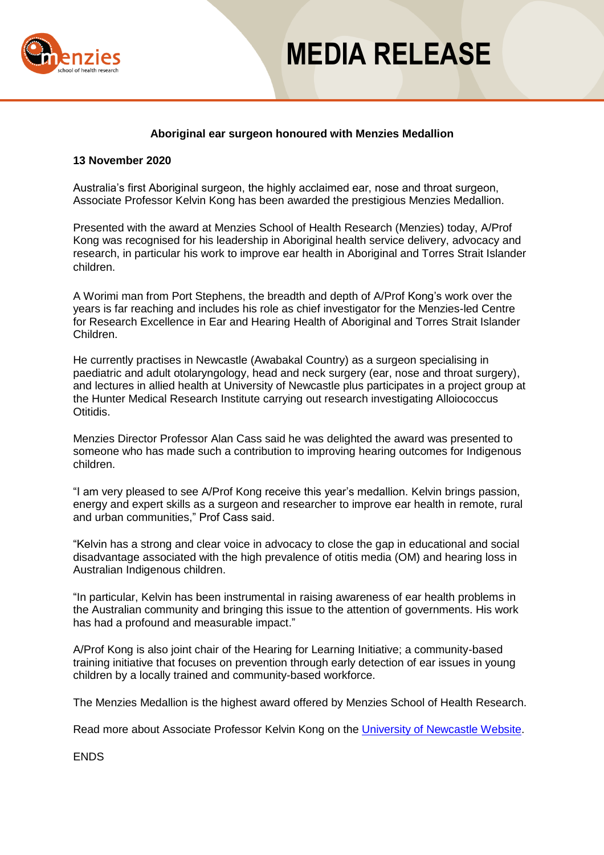

## **MEDIA RELEASE**

### **Aboriginal ear surgeon honoured with Menzies Medallion**

### **13 November 2020**

Australia's first Aboriginal surgeon, the highly acclaimed ear, nose and throat surgeon, Associate Professor Kelvin Kong has been awarded the prestigious Menzies Medallion.

Presented with the award at Menzies School of Health Research (Menzies) today, A/Prof Kong was recognised for his leadership in Aboriginal health service delivery, advocacy and research, in particular his work to improve ear health in Aboriginal and Torres Strait Islander children.

A Worimi man from Port Stephens, the breadth and depth of A/Prof Kong's work over the years is far reaching and includes his role as chief investigator for the Menzies-led Centre for Research Excellence in Ear and Hearing Health of Aboriginal and Torres Strait Islander Children.

He currently practises in Newcastle (Awabakal Country) as a surgeon specialising in paediatric and adult otolaryngology, head and neck surgery (ear, nose and throat surgery), and lectures in allied health at University of Newcastle plus participates in a project group at the Hunter Medical Research Institute carrying out research investigating Alloiococcus Otitidis.

Menzies Director Professor Alan Cass said he was delighted the award was presented to someone who has made such a contribution to improving hearing outcomes for Indigenous children.

"I am very pleased to see A/Prof Kong receive this year's medallion. Kelvin brings passion, energy and expert skills as a surgeon and researcher to improve ear health in remote, rural and urban communities," Prof Cass said.

"Kelvin has a strong and clear voice in advocacy to close the gap in educational and social disadvantage associated with the high prevalence of otitis media (OM) and hearing loss in Australian Indigenous children.

"In particular, Kelvin has been instrumental in raising awareness of ear health problems in the Australian community and bringing this issue to the attention of governments. His work has had a profound and measurable impact."

A/Prof Kong is also joint chair of the Hearing for Learning Initiative; a community-based training initiative that focuses on prevention through early detection of ear issues in young children by a locally trained and community-based workforce.

The Menzies Medallion is the highest award offered by Menzies School of Health Research.

Read more about Associate Professor Kelvin Kong on the [University of Newcastle Website.](https://www.newcastle.edu.au/profile/kelvin-kong)

ENDS